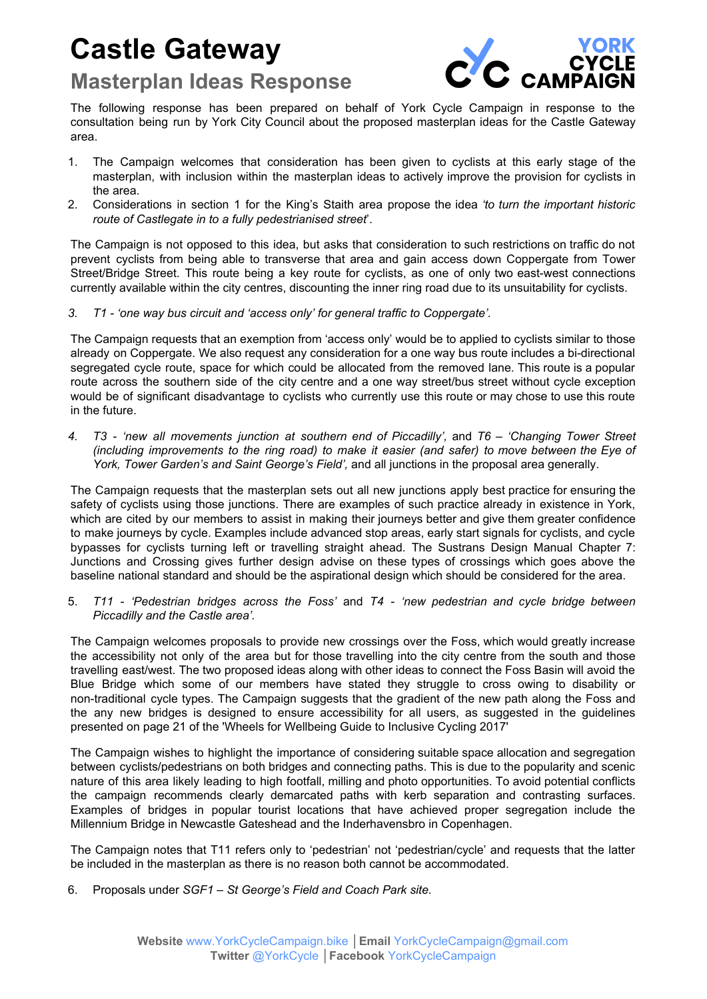## **Castle Gateway**

## **Masterplan Ideas Response**



The following response has been prepared on behalf of York Cycle Campaign in response to the consultation being run by York City Council about the proposed masterplan ideas for the Castle Gateway area.

- 1. The Campaign welcomes that consideration has been given to cyclists at this early stage of the masterplan, with inclusion within the masterplan ideas to actively improve the provision for cyclists in the area.
- 2. Considerations in section 1 for the King's Staith area propose the idea *'to turn the important historic route of Castlegate in to a fully pedestrianised street*'.

The Campaign is not opposed to this idea, but asks that consideration to such restrictions on traffic do not prevent cyclists from being able to transverse that area and gain access down Coppergate from Tower Street/Bridge Street. This route being a key route for cyclists, as one of only two east-west connections currently available within the city centres, discounting the inner ring road due to its unsuitability for cyclists.

*3. T1 - 'one way bus circuit and 'access only' for general traffic to Coppergate'.*

The Campaign requests that an exemption from 'access only' would be to applied to cyclists similar to those already on Coppergate. We also request any consideration for a one way bus route includes a bi-directional segregated cycle route, space for which could be allocated from the removed lane. This route is a popular route across the southern side of the city centre and a one way street/bus street without cycle exception would be of significant disadvantage to cyclists who currently use this route or may chose to use this route in the future.

*4. T3 - 'new all movements junction at southern end of Piccadilly',* and *T6 – 'Changing Tower Street (including improvements to the ring road) to make it easier (and safer) to move between the Eye of York, Tower Garden's and Saint George's Field',* and all junctions in the proposal area generally.

The Campaign requests that the masterplan sets out all new junctions apply best practice for ensuring the safety of cyclists using those junctions. There are examples of such practice already in existence in York, which are cited by our members to assist in making their journeys better and give them greater confidence to make journeys by cycle. Examples include advanced stop areas, early start signals for cyclists, and cycle bypasses for cyclists turning left or travelling straight ahead. The Sustrans Design Manual Chapter 7: Junctions and Crossing gives further design advise on these types of crossings which goes above the baseline national standard and should be the aspirational design which should be considered for the area.

5. *T11 - 'Pedestrian bridges across the Foss'* and *T4 - 'new pedestrian and cycle bridge between Piccadilly and the Castle area'.*

The Campaign welcomes proposals to provide new crossings over the Foss, which would greatly increase the accessibility not only of the area but for those travelling into the city centre from the south and those travelling east/west. The two proposed ideas along with other ideas to connect the Foss Basin will avoid the Blue Bridge which some of our members have stated they struggle to cross owing to disability or non-traditional cycle types. The Campaign suggests that the gradient of the new path along the Foss and the any new bridges is designed to ensure accessibility for all users, as suggested in the guidelines presented on page 21 of the 'Wheels for Wellbeing Guide to Inclusive Cycling 2017'

The Campaign wishes to highlight the importance of considering suitable space allocation and segregation between cyclists/pedestrians on both bridges and connecting paths. This is due to the popularity and scenic nature of this area likely leading to high footfall, milling and photo opportunities. To avoid potential conflicts the campaign recommends clearly demarcated paths with kerb separation and contrasting surfaces. Examples of bridges in popular tourist locations that have achieved proper segregation include the Millennium Bridge in Newcastle Gateshead and the Inderhavensbro in Copenhagen.

The Campaign notes that T11 refers only to 'pedestrian' not 'pedestrian/cycle' and requests that the latter be included in the masterplan as there is no reason both cannot be accommodated.

6. Proposals under *SGF1 – St George's Field and Coach Park site.*